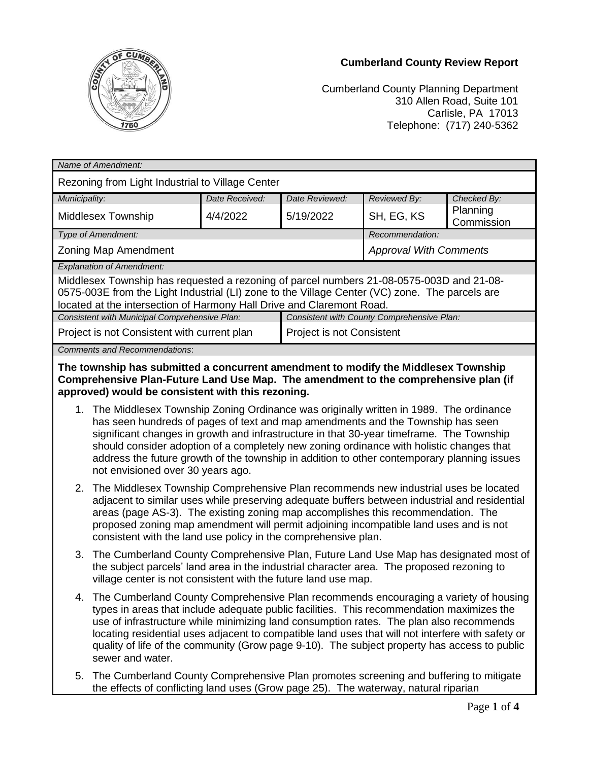## **Cumberland County Review Report**



Cumberland County Planning Department 310 Allen Road, Suite 101 Carlisle, PA 17013 Telephone: (717) 240-5362

| Name of Amendment:                                                                                                                                                                                                                                                  |                                            |                                  |                               |                        |  |
|---------------------------------------------------------------------------------------------------------------------------------------------------------------------------------------------------------------------------------------------------------------------|--------------------------------------------|----------------------------------|-------------------------------|------------------------|--|
| Rezoning from Light Industrial to Village Center                                                                                                                                                                                                                    |                                            |                                  |                               |                        |  |
| Municipality:                                                                                                                                                                                                                                                       | Date Received:                             | Date Reviewed:                   | Reviewed By:                  | Checked By:            |  |
| Middlesex Township                                                                                                                                                                                                                                                  | 4/4/2022                                   | 5/19/2022                        | SH, EG, KS                    | Planning<br>Commission |  |
| Type of Amendment:                                                                                                                                                                                                                                                  |                                            |                                  | Recommendation:               |                        |  |
| Zoning Map Amendment                                                                                                                                                                                                                                                |                                            |                                  | <b>Approval With Comments</b> |                        |  |
| <b>Explanation of Amendment:</b>                                                                                                                                                                                                                                    |                                            |                                  |                               |                        |  |
| Middlesex Township has requested a rezoning of parcel numbers 21-08-0575-003D and 21-08-<br>0575-003E from the Light Industrial (LI) zone to the Village Center (VC) zone. The parcels are<br>located at the intersection of Harmony Hall Drive and Claremont Road. |                                            |                                  |                               |                        |  |
| Consistent with Municipal Comprehensive Plan:                                                                                                                                                                                                                       | Consistent with County Comprehensive Plan: |                                  |                               |                        |  |
| Project is not Consistent with current plan                                                                                                                                                                                                                         |                                            | <b>Project is not Consistent</b> |                               |                        |  |
| <b>Comments and Recommendations:</b>                                                                                                                                                                                                                                |                                            |                                  |                               |                        |  |

**The township has submitted a concurrent amendment to modify the Middlesex Township Comprehensive Plan-Future Land Use Map. The amendment to the comprehensive plan (if approved) would be consistent with this rezoning.**

- 1. The Middlesex Township Zoning Ordinance was originally written in 1989. The ordinance has seen hundreds of pages of text and map amendments and the Township has seen significant changes in growth and infrastructure in that 30-year timeframe. The Township should consider adoption of a completely new zoning ordinance with holistic changes that address the future growth of the township in addition to other contemporary planning issues not envisioned over 30 years ago.
- 2. The Middlesex Township Comprehensive Plan recommends new industrial uses be located adjacent to similar uses while preserving adequate buffers between industrial and residential areas (page AS-3). The existing zoning map accomplishes this recommendation. The proposed zoning map amendment will permit adjoining incompatible land uses and is not consistent with the land use policy in the comprehensive plan.
- 3. The Cumberland County Comprehensive Plan, Future Land Use Map has designated most of the subject parcels' land area in the industrial character area. The proposed rezoning to village center is not consistent with the future land use map.
- 4. The Cumberland County Comprehensive Plan recommends encouraging a variety of housing types in areas that include adequate public facilities. This recommendation maximizes the use of infrastructure while minimizing land consumption rates. The plan also recommends locating residential uses adjacent to compatible land uses that will not interfere with safety or quality of life of the community (Grow page 9-10). The subject property has access to public sewer and water.
- 5. The Cumberland County Comprehensive Plan promotes screening and buffering to mitigate the effects of conflicting land uses (Grow page 25). The waterway, natural riparian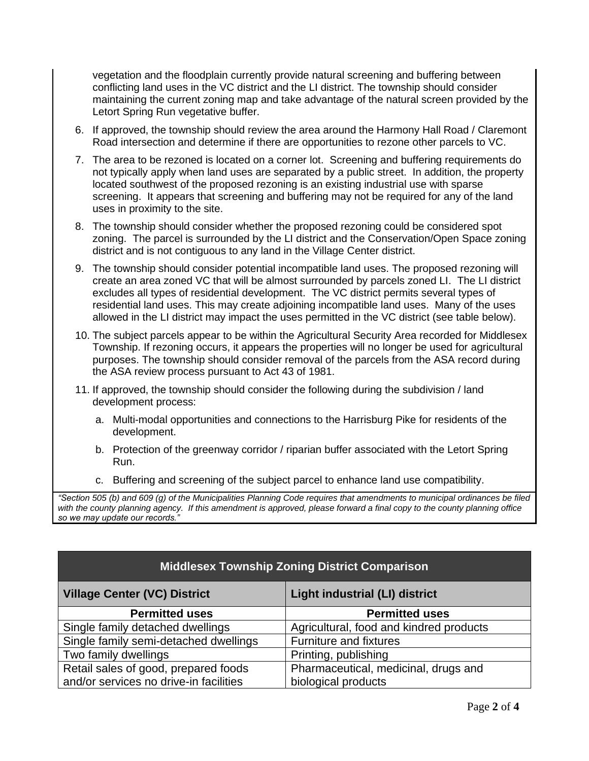vegetation and the floodplain currently provide natural screening and buffering between conflicting land uses in the VC district and the LI district. The township should consider maintaining the current zoning map and take advantage of the natural screen provided by the Letort Spring Run vegetative buffer.

- 6. If approved, the township should review the area around the Harmony Hall Road / Claremont Road intersection and determine if there are opportunities to rezone other parcels to VC.
- 7. The area to be rezoned is located on a corner lot. Screening and buffering requirements do not typically apply when land uses are separated by a public street. In addition, the property located southwest of the proposed rezoning is an existing industrial use with sparse screening. It appears that screening and buffering may not be required for any of the land uses in proximity to the site.
- 8. The township should consider whether the proposed rezoning could be considered spot zoning. The parcel is surrounded by the LI district and the Conservation/Open Space zoning district and is not contiguous to any land in the Village Center district.
- 9. The township should consider potential incompatible land uses. The proposed rezoning will create an area zoned VC that will be almost surrounded by parcels zoned LI. The LI district excludes all types of residential development. The VC district permits several types of residential land uses. This may create adjoining incompatible land uses. Many of the uses allowed in the LI district may impact the uses permitted in the VC district (see table below).
- 10. The subject parcels appear to be within the Agricultural Security Area recorded for Middlesex Township. If rezoning occurs, it appears the properties will no longer be used for agricultural purposes. The township should consider removal of the parcels from the ASA record during the ASA review process pursuant to Act 43 of 1981.
- 11. If approved, the township should consider the following during the subdivision / land development process:
	- a. Multi-modal opportunities and connections to the Harrisburg Pike for residents of the development.
	- b. Protection of the greenway corridor / riparian buffer associated with the Letort Spring Run.
	- c. Buffering and screening of the subject parcel to enhance land use compatibility.

*"Section 505 (b) and 609 (g) of the Municipalities Planning Code requires that amendments to municipal ordinances be filed with the county planning agency. If this amendment is approved, please forward a final copy to the county planning office so we may update our records."*

| <b>Middlesex Township Zoning District Comparison</b> |                                         |  |  |
|------------------------------------------------------|-----------------------------------------|--|--|
| <b>Village Center (VC) District</b>                  | <b>Light industrial (LI) district</b>   |  |  |
| <b>Permitted uses</b>                                | <b>Permitted uses</b>                   |  |  |
| Single family detached dwellings                     | Agricultural, food and kindred products |  |  |
| Single family semi-detached dwellings                | Furniture and fixtures                  |  |  |
| Two family dwellings                                 | Printing, publishing                    |  |  |
| Retail sales of good, prepared foods                 | Pharmaceutical, medicinal, drugs and    |  |  |
| and/or services no drive-in facilities               | biological products                     |  |  |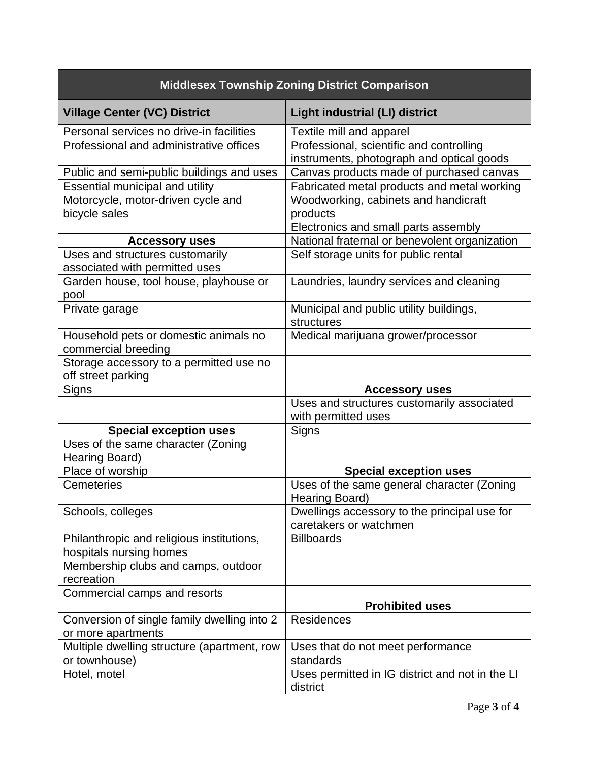| <b>Middlesex Township Zoning District Comparison</b>                               |                                                                                       |  |
|------------------------------------------------------------------------------------|---------------------------------------------------------------------------------------|--|
| <b>Village Center (VC) District</b>                                                | <b>Light industrial (LI) district</b>                                                 |  |
| Personal services no drive-in facilities                                           | Textile mill and apparel                                                              |  |
| Professional and administrative offices                                            | Professional, scientific and controlling<br>instruments, photograph and optical goods |  |
| Public and semi-public buildings and uses                                          | Canvas products made of purchased canvas                                              |  |
| Essential municipal and utility                                                    | Fabricated metal products and metal working                                           |  |
| Motorcycle, motor-driven cycle and<br>bicycle sales                                | Woodworking, cabinets and handicraft<br>products                                      |  |
|                                                                                    | Electronics and small parts assembly                                                  |  |
| <b>Accessory uses</b>                                                              | National fraternal or benevolent organization                                         |  |
| Uses and structures customarily<br>associated with permitted uses                  | Self storage units for public rental                                                  |  |
| Garden house, tool house, playhouse or<br>pool                                     | Laundries, laundry services and cleaning                                              |  |
| Private garage                                                                     | Municipal and public utility buildings,<br>structures                                 |  |
| Household pets or domestic animals no<br>commercial breeding                       | Medical marijuana grower/processor                                                    |  |
| Storage accessory to a permitted use no<br>off street parking                      |                                                                                       |  |
| Signs                                                                              | <b>Accessory uses</b>                                                                 |  |
|                                                                                    | Uses and structures customarily associated<br>with permitted uses                     |  |
| <b>Special exception uses</b>                                                      | Signs                                                                                 |  |
| Uses of the same character (Zoning<br>Hearing Board)                               |                                                                                       |  |
| Place of worship                                                                   | <b>Special exception uses</b>                                                         |  |
| <b>Cemeteries</b>                                                                  | Uses of the same general character (Zoning<br>Hearing Board)                          |  |
|                                                                                    |                                                                                       |  |
| Schools, colleges                                                                  | Dwellings accessory to the principal use for<br>caretakers or watchmen                |  |
| Philanthropic and religious institutions,                                          | <b>Billboards</b>                                                                     |  |
| hospitals nursing homes<br>Membership clubs and camps, outdoor<br>recreation       |                                                                                       |  |
| Commercial camps and resorts                                                       | <b>Prohibited uses</b>                                                                |  |
| Conversion of single family dwelling into 2                                        | Residences                                                                            |  |
| or more apartments<br>Multiple dwelling structure (apartment, row<br>or townhouse) | Uses that do not meet performance<br>standards                                        |  |